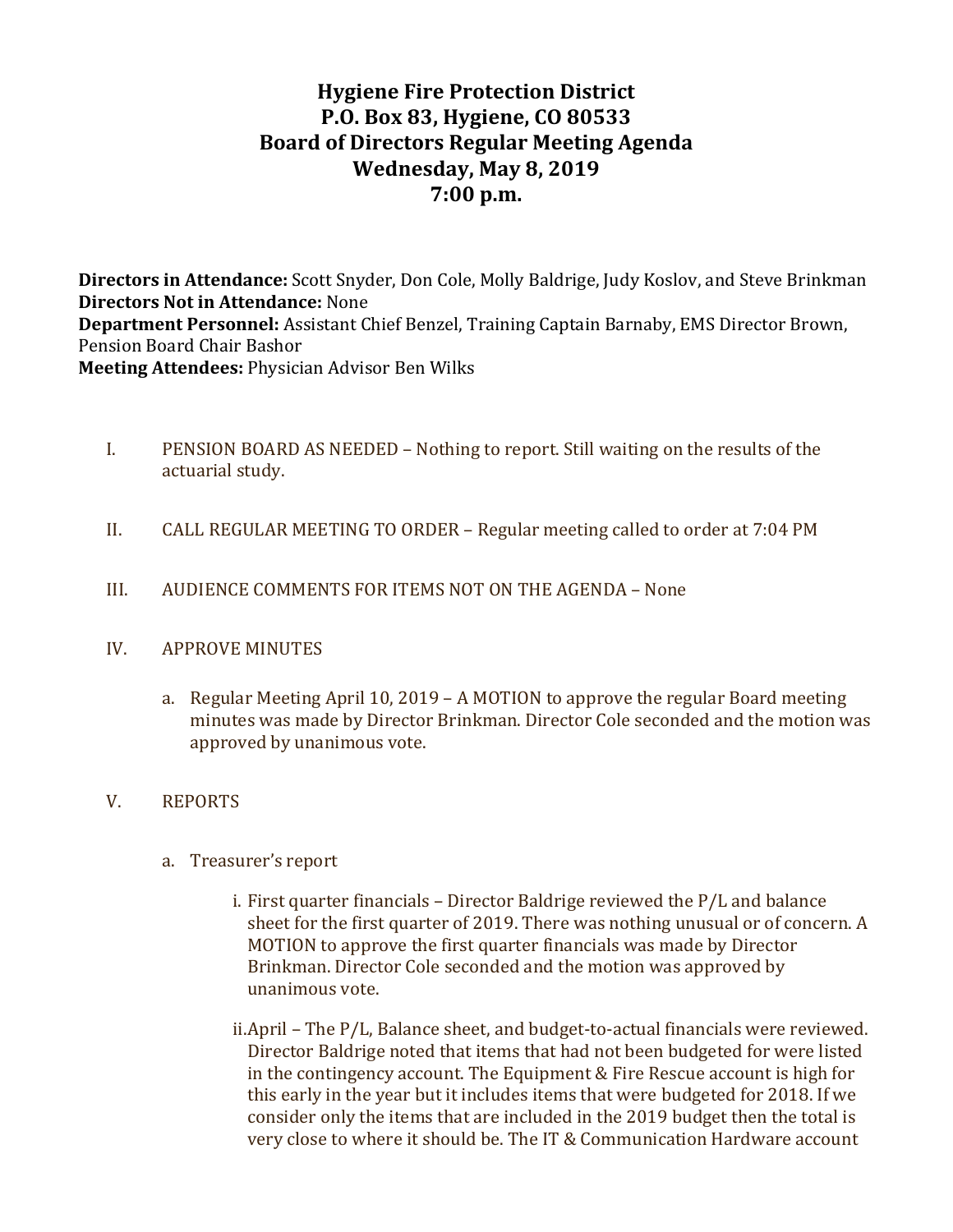# **Hygiene Fire Protection District** P.O. Box 83, Hygiene, CO 80533 **Board of Directors Regular Meeting Agenda** Wednesday, May 8, 2019  $7:00$  p.m.

Directors in Attendance: Scott Snyder, Don Cole, Molly Baldrige, Judy Koslov, and Steve Brinkman **Directors Not in Attendance: None** Department Personnel: Assistant Chief Benzel, Training Captain Barnaby, EMS Director Brown, Pension Board Chair Bashor **Meeting Attendees: Physician Advisor Ben Wilks** 

- $\mathbf{L}$ PENSION BOARD AS NEEDED – Nothing to report. Still waiting on the results of the actuarial study.
- $II.$ CALL REGULAR MEETING TO ORDER - Regular meeting called to order at 7:04 PM
- $III.$ AUDIENCE COMMENTS FOR ITEMS NOT ON THE AGENDA - None

#### $IV.$ **APPROVE MINUTES**

- a. Regular Meeting April 10, 2019 A MOTION to approve the regular Board meeting minutes was made by Director Brinkman. Director Cole seconded and the motion was approved by unanimous vote.
- $V_{-}$ **REPORTS** 
	- a. Treasurer's report
		- i. First quarter financials Director Baldrige reviewed the P/L and balance sheet for the first quarter of 2019. There was nothing unusual or of concern. A MOTION to approve the first quarter financials was made by Director Brinkman. Director Cole seconded and the motion was approved by unanimous vote.
		- ii.April The P/L, Balance sheet, and budget-to-actual financials were reviewed. Director Baldrige noted that items that had not been budgeted for were listed in the contingency account. The Equipment & Fire Rescue account is high for this early in the year but it includes items that were budgeted for 2018. If we consider only the items that are included in the 2019 budget then the total is very close to where it should be. The IT & Communication Hardware account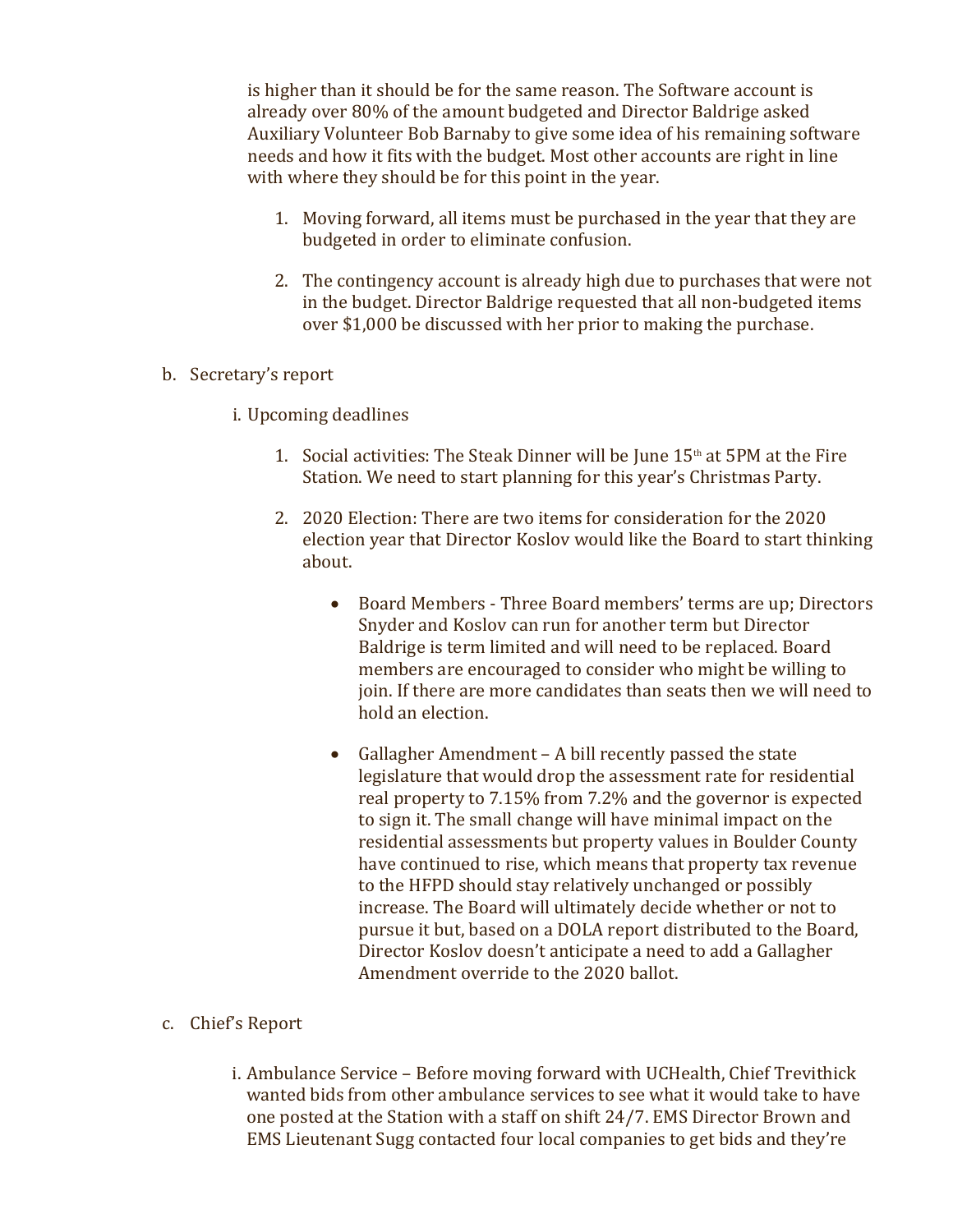is higher than it should be for the same reason. The Software account is already over 80% of the amount budgeted and Director Baldrige asked Auxiliary Volunteer Bob Barnaby to give some idea of his remaining software needs and how it fits with the budget. Most other accounts are right in line with where they should be for this point in the year.

- 1. Moving forward, all items must be purchased in the year that they are budgeted in order to eliminate confusion.
- 2. The contingency account is already high due to purchases that were not in the budget. Director Baldrige requested that all non-budgeted items over \$1,000 be discussed with her prior to making the purchase.

### b. Secretary's report

- i. Upcoming deadlines
	- 1. Social activities: The Steak Dinner will be June 15<sup>th</sup> at 5PM at the Fire Station. We need to start planning for this year's Christmas Party.
	- 2. 2020 Election: There are two items for consideration for the 2020 election year that Director Koslov would like the Board to start thinking about.
		- Board Members Three Board members' terms are up: Directors Snyder and Koslov can run for another term but Director Baldrige is term limited and will need to be replaced. Board members are encouraged to consider who might be willing to join. If there are more candidates than seats then we will need to hold an election.
		- Gallagher Amendment A bill recently passed the state legislature that would drop the assessment rate for residential real property to 7.15% from 7.2% and the governor is expected to sign it. The small change will have minimal impact on the residential assessments but property values in Boulder County have continued to rise, which means that property tax revenue to the HFPD should stay relatively unchanged or possibly increase. The Board will ultimately decide whether or not to pursue it but, based on a DOLA report distributed to the Board, Director Koslov doesn't anticipate a need to add a Gallagher Amendment override to the 2020 ballot.

# c. Chief's Report

i. Ambulance Service – Before moving forward with UCHealth, Chief Trevithick wanted bids from other ambulance services to see what it would take to have one posted at the Station with a staff on shift 24/7. EMS Director Brown and EMS Lieutenant Sugg contacted four local companies to get bids and they're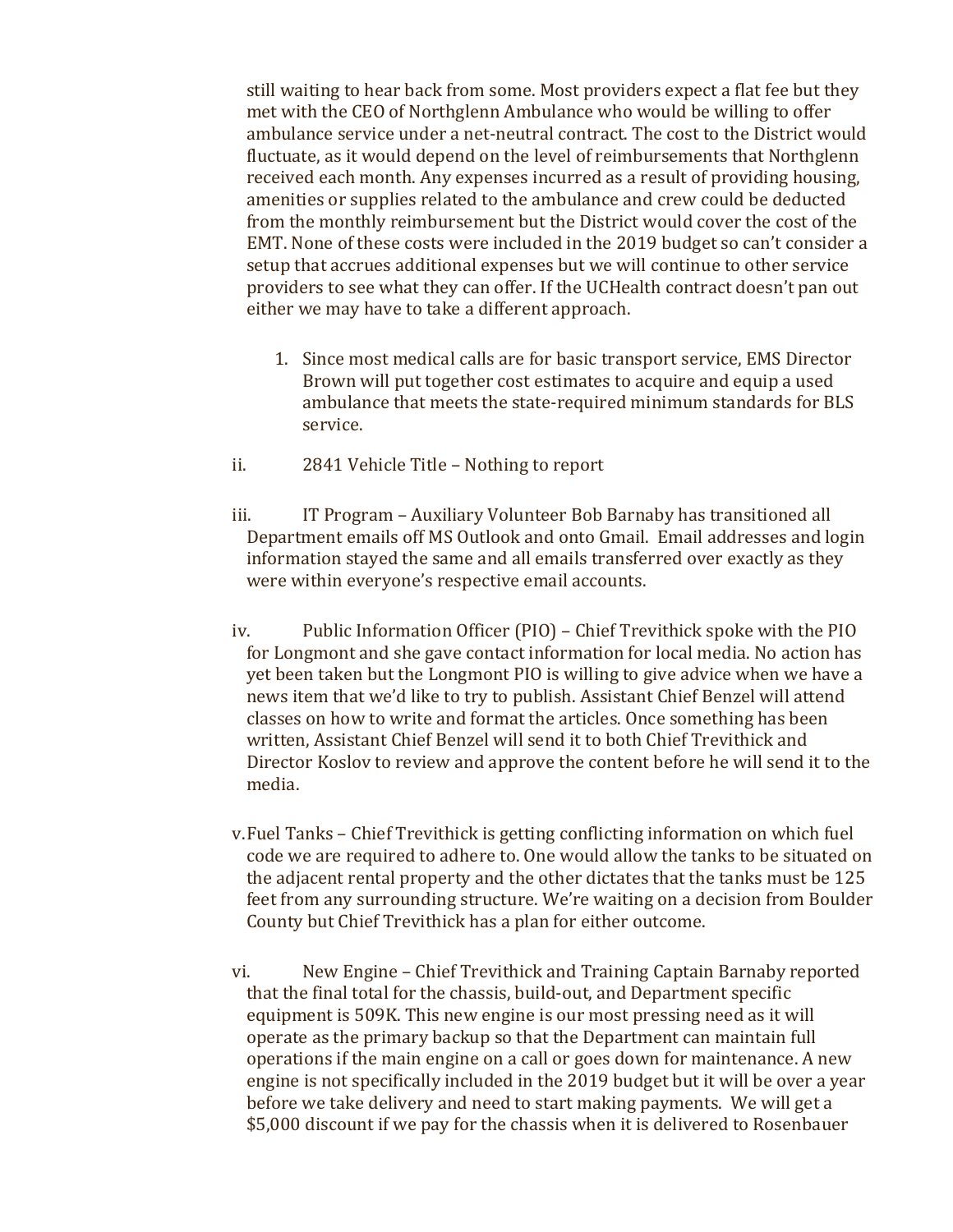still waiting to hear back from some. Most providers expect a flat fee but they met with the CEO of Northglenn Ambulance who would be willing to offer ambulance service under a net-neutral contract. The cost to the District would fluctuate, as it would depend on the level of reimbursements that Northglenn received each month. Any expenses incurred as a result of providing housing, amenities or supplies related to the ambulance and crew could be deducted from the monthly reimbursement but the District would cover the cost of the EMT. None of these costs were included in the 2019 budget so can't consider a setup that accrues additional expenses but we will continue to other service providers to see what they can offer. If the UCHealth contract doesn't pan out either we may have to take a different approach.

- 1. Since most medical calls are for basic transport service, EMS Director Brown will put together cost estimates to acquire and equip a used ambulance that meets the state-required minimum standards for BLS service.
- ii. 2841 Vehicle Title Nothing to report
- iii. IT Program Auxiliary Volunteer Bob Barnaby has transitioned all Department emails off MS Outlook and onto Gmail. Email addresses and login information stayed the same and all emails transferred over exactly as they were within everyone's respective email accounts.
- iv. Public Information Officer (PIO) Chief Trevithick spoke with the PIO for Longmont and she gave contact information for local media. No action has yet been taken but the Longmont PIO is willing to give advice when we have a hews item that we'd like to try to publish. Assistant Chief Benzel will attend classes on how to write and format the articles. Once something has been written, Assistant Chief Benzel will send it to both Chief Trevithick and Director Koslov to review and approve the content before he will send it to the media.
- y. Fuel Tanks Chief Trevithick is getting conflicting information on which fuel code we are required to adhere to. One would allow the tanks to be situated on the adjacent rental property and the other dictates that the tanks must be 125 feet from any surrounding structure. We're waiting on a decision from Boulder County but Chief Trevithick has a plan for either outcome.
- $\overline{v}$  New Engine Chief Trevithick and Training Captain Barnaby reported that the final total for the chassis, build-out, and Department specific equipment is 509K. This new engine is our most pressing need as it will operate as the primary backup so that the Department can maintain full operations if the main engine on a call or goes down for maintenance. A new engine is not specifically included in the 2019 budget but it will be over a year before we take delivery and need to start making payments. We will get a \$5,000 discount if we pay for the chassis when it is delivered to Rosenbauer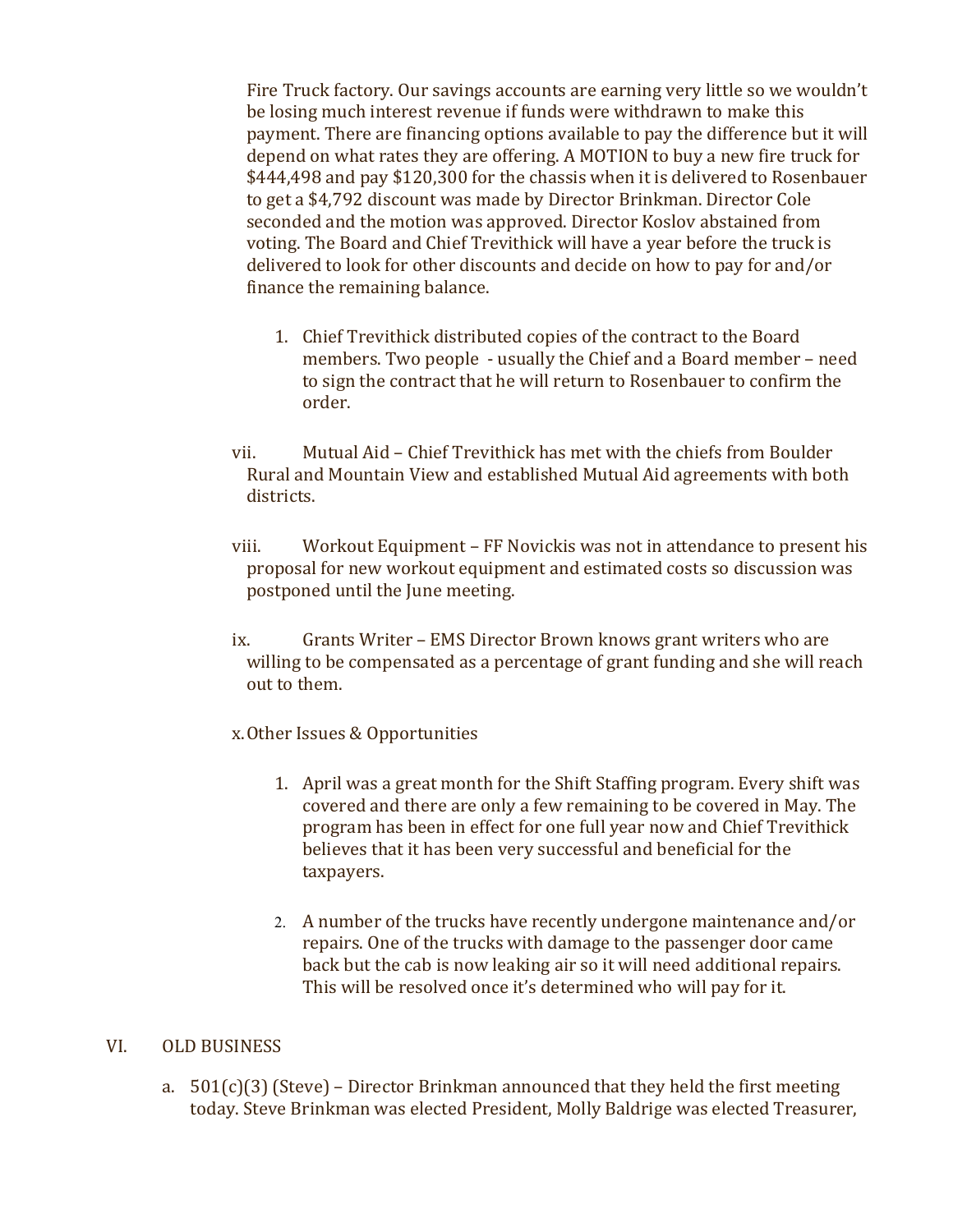Fire Truck factory. Our savings accounts are earning very little so we wouldn't be losing much interest revenue if funds were withdrawn to make this payment. There are financing options available to pay the difference but it will depend on what rates they are offering. A MOTION to buy a new fire truck for \$444,498 and pay \$120,300 for the chassis when it is delivered to Rosenbauer to get a \$4,792 discount was made by Director Brinkman. Director Cole seconded and the motion was approved. Director Koslov abstained from voting. The Board and Chief Trevithick will have a year before the truck is delivered to look for other discounts and decide on how to pay for and/or finance the remaining balance.

- 1. Chief Trevithick distributed copies of the contract to the Board members. Two people - usually the Chief and a Board member - need to sign the contract that he will return to Rosenbauer to confirm the order.
- vii. Mutual Aid – Chief Trevithick has met with the chiefs from Boulder Rural and Mountain View and established Mutual Aid agreements with both districts.
- viii. Workout Equipment - FF Novickis was not in attendance to present his proposal for new workout equipment and estimated costs so discussion was postponed until the June meeting.
- ix. Grants Writer - EMS Director Brown knows grant writers who are willing to be compensated as a percentage of grant funding and she will reach out to them.
- x. Other Issues & Opportunities
	- 1. April was a great month for the Shift Staffing program. Every shift was covered and there are only a few remaining to be covered in May. The program has been in effect for one full year now and Chief Trevithick believes that it has been very successful and beneficial for the taxpayers.
	- 2. A number of the trucks have recently undergone maintenance and/or repairs. One of the trucks with damage to the passenger door came back but the cab is now leaking air so it will need additional repairs. This will be resolved once it's determined who will pay for it.

#### VI. **OLD BUSINESS**

a.  $501(c)(3)$  (Steve) – Director Brinkman announced that they held the first meeting today. Steve Brinkman was elected President, Molly Baldrige was elected Treasurer,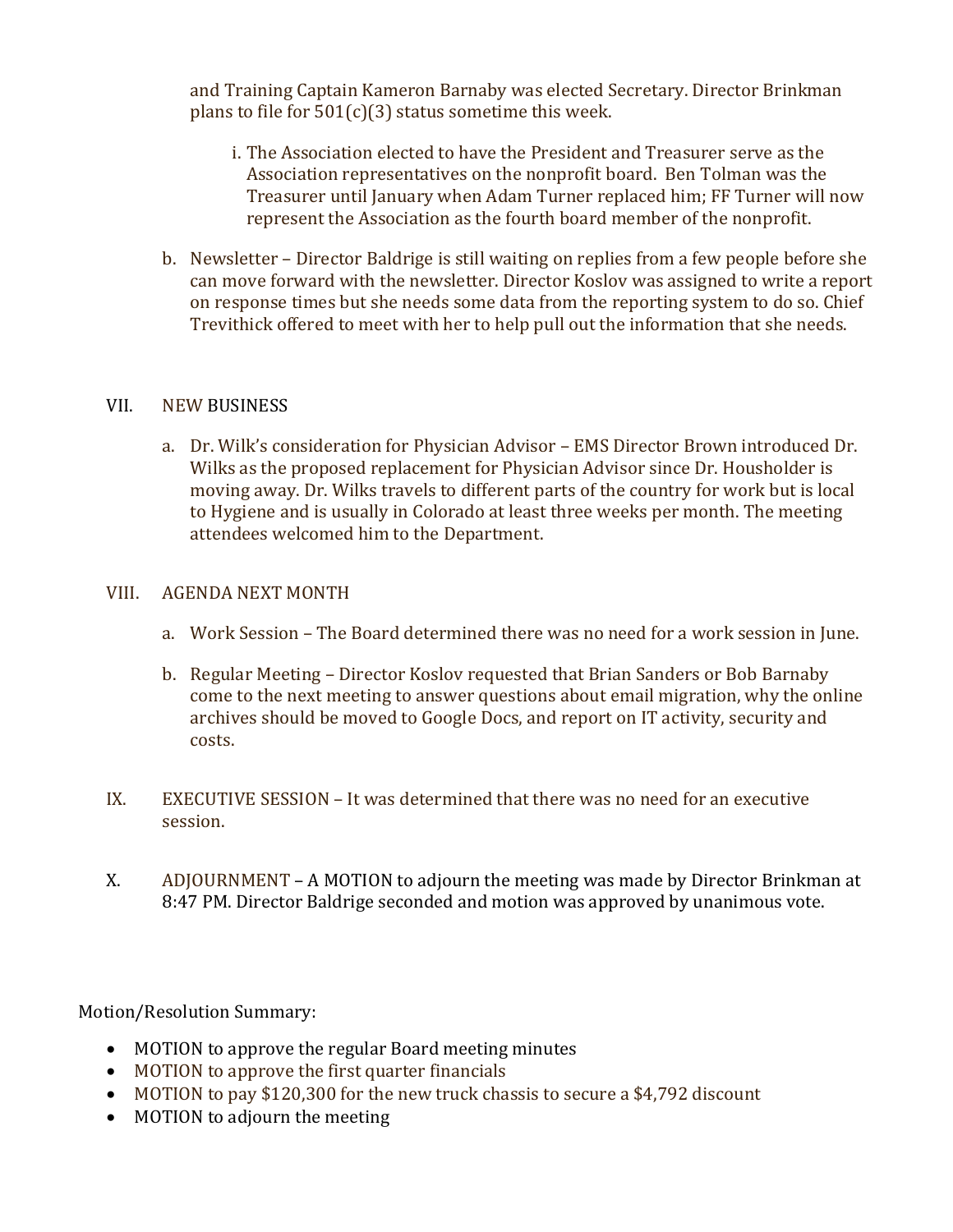and Training Captain Kameron Barnaby was elected Secretary. Director Brinkman plans to file for  $501(c)(3)$  status sometime this week.

- i. The Association elected to have the President and Treasurer serve as the Association representatives on the nonprofit board. Ben Tolman was the Treasurer until January when Adam Turner replaced him; FF Turner will now represent the Association as the fourth board member of the nonprofit.
- b. Newsletter Director Baldrige is still waiting on replies from a few people before she can move forward with the newsletter. Director Koslov was assigned to write a report on response times but she needs some data from the reporting system to do so. Chief Trevithick offered to meet with her to help pull out the information that she needs.

#### VII. **NEW BUSINESS**

a. Dr. Wilk's consideration for Physician Advisor – EMS Director Brown introduced Dr. Wilks as the proposed replacement for Physician Advisor since Dr. Housholder is moving away. Dr. Wilks travels to different parts of the country for work but is local to Hygiene and is usually in Colorado at least three weeks per month. The meeting attendees welcomed him to the Department.

#### **AGENDA NEXT MONTH** VIII.

- a. Work Session The Board determined there was no need for a work session in June.
- b. Regular Meeting Director Koslov requested that Brian Sanders or Bob Barnaby come to the next meeting to answer questions about email migration, why the online archives should be moved to Google Docs, and report on IT activity, security and costs.
- EXECUTIVE SESSION It was determined that there was no need for an executive  $IX.$ session.
- X. ADJOURNMENT – A MOTION to adjourn the meeting was made by Director Brinkman at 8:47 PM. Director Baldrige seconded and motion was approved by unanimous vote.

Motion/Resolution Summary:

- MOTION to approve the regular Board meeting minutes
- MOTION to approve the first quarter financials
- MOTION to pay \$120,300 for the new truck chassis to secure a \$4,792 discount
- MOTION to adjourn the meeting